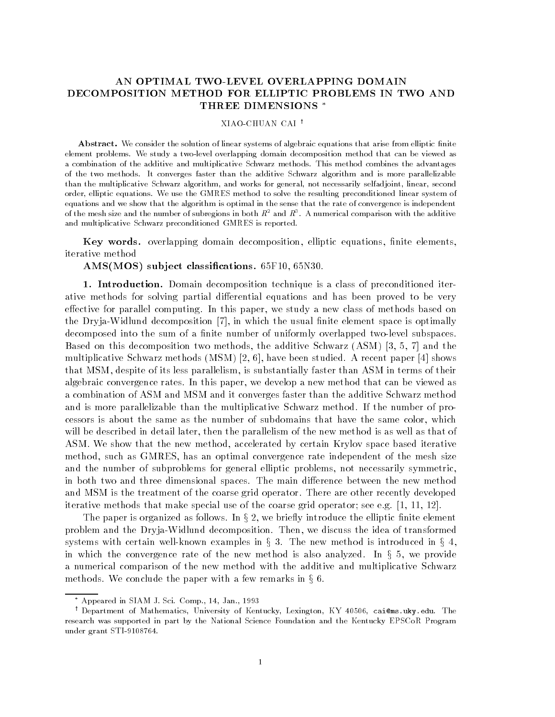# AN OPTIMAL TWO-LEVEL OVERLAPPING DOMAIN DECOMPOSITION METHOD FOR ELLIPTIC PROBLEMS IN TWO AND THREE DIMENSIONS

## XIAO-CHUAN CAI<sup>t</sup>

Abstract. We consider the solution of linear systems of algebraic equations that arise from elliptic finite element problems- We study a twolevel overlapping domain decomposition method that can be viewed as a combination of the additive and multiplicative Schwarz methods- This method combines the advantages of the two methods- It converges faster than the additive Schwarz algorithm and is more parallelizable than the multiplicative Schwarz algorithm, and works for general, not necessarily selfadjoint, linear, second order elliptic equations- We use the GMRES method to solve the resulting preconditioned linear system of equations and we show that the algorithm is optimal in the sense that the rate of convergence is independent of the mesh size and the number of subregions in both  $K^-$  and  $K^+$  . A numerical comparison with the additive  $\hspace{0.1mm}$ and multiplicative Schwarz preconditioned GMRES is reported.

Key words. overlapping domain decomposition, elliptic equations, finite elements, iterative method

AMS-MOS sub ject classications -F -N

1. Introduction. Domain decomposition technique is a class of preconditioned iterative methods for solving partial differential equations and has been proved to be very effective for parallel computing. In this paper, we study a new class of methods based on . The Dryja Widdless and the usual nite element space is the usual nite element space is optimized in the usual decomposed into the sum of a finite number of uniformly overlapped two-level subspaces. as the two this decomposition two methods that the addition to addition (the additional state  $\alpha$ multiplicative studies and the studies of paper and the studies of the studies of the paper of the studies of that MSM, despite of its less parallelism, is substantially faster than ASM in terms of their algebraic convergence rates. In this paper, we develop a new method that can be viewed as a combination of ASM and MSM and it converges faster than the additive Schwarz method and is more parallelizable than the multiplicative Schwarz method. If the number of processors is about the same as the number of subdomains that have the same color, which will be described in detail later, then the parallelism of the new method is as well as that of ASM. We show that the new method, accelerated by certain Krylov space based iterative method, such as GMRES, has an optimal convergence rate independent of the mesh size and the number of subproblems for general elliptic problems, not necessarily symmetric, in both two and three dimensional spaces. The main difference between the new method and MSM is the treatment of the coarse grid operator. There are other recently developed iterative methods that make special use of the coarse grid operator see eg 

The paper is organized as follows. In  $\S 2$ , we briefly introduce the elliptic finite element problem and the Dryja-Widlund decomposition. Then, we discuss the idea of transformed systems with certain well-known examples in  $\S 3$ . The new method is introduced in  $\S 4$ , in which the convergence rate of the new method is also analyzed. In  $\S$  5, we provide a numerical comparison of the new method with the additive and multiplicative Schwarz methods. We conclude the paper with a few remarks in § 6.  $\pm$ 

Appeared in SIAM J. Sci. Comp., 14, Jan., 1993

<sup>&#</sup>x27; Department of Mathematics, University of Kentucky, Lexington, KY 40506, cai@ms.uky.edu. The research was supported in part by the National Science Foundation and the Kentucky EPSCoR Program  $\mathbf{u}$  and  $\mathbf{u}$  and  $\mathbf{u}$  and  $\mathbf{u}$  and  $\mathbf{u}$  and  $\mathbf{u}$  and  $\mathbf{u}$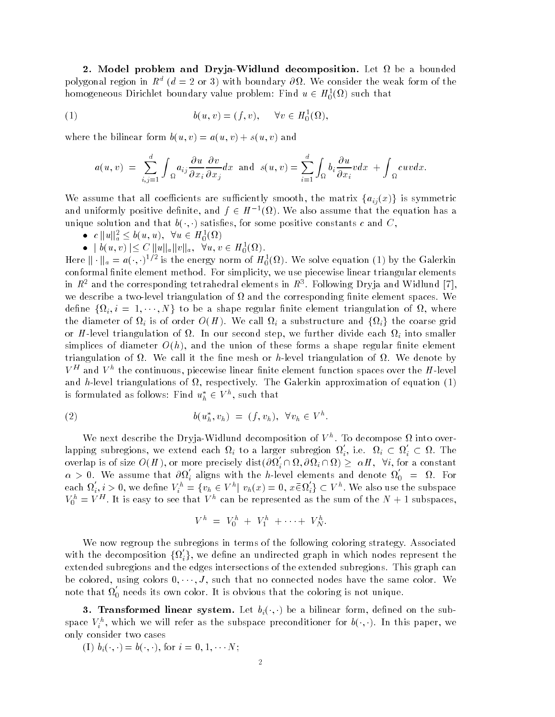2. Model problem and Dryja-Widlund decomposition. Let  $\Omega$  be a bounded polygonal region in  $K^+$  ( $a = 2$  or 3) with boundary  $\partial M$ . We consider the weak form of the homogeneous Dirichlet boundary value problem: Find  $u \in H_0^1(\Omega)$  such that

(1) 
$$
b(u,v) = (f,v), \quad \forall v \in H_0^1(\Omega),
$$

where the bilinear form  $b(u, v) = a(u, v) + s(u, v)$  and

$$
a(u,v) = \sum_{i,j=1}^d \int_{\Omega} a_{ij} \frac{\partial u}{\partial x_i} \frac{\partial v}{\partial x_j} dx \text{ and } s(u,v) = \sum_{i=1}^d \int_{\Omega} b_i \frac{\partial u}{\partial x_i} v dx + \int_{\Omega} cuv dx
$$

We assume that all coefficients are sufficiently smooth, the matrix  $\{a_{ij}(x)\}\$ is symmetric and uniformly positive definite, and  $f \in H^{-1}(\Omega)$ . We also assume that the equation has a unique solution and that  $v(\cdot, \cdot)$  satisfies, for some positive constants c and  $\cup$ ,

- $c \|u\|_a^2 \le b(u, u), \forall u \in H_0^1(\Omega)$
- 

 $\bullet$   $\parallel b(u, v) \leq C \parallel u \parallel_a \parallel v \parallel_a$ ,  $\forall u, v \in H_0^1(\Omega)$ .<br>Here  $\parallel \cdot \parallel_a = a(\cdot, \cdot)^{1/2}$  is the energy norm of  $H_0^1(\Omega)$ . We solve equation (1) by the Galerkin conformal finite element method. For simplicity, we use piecewise linear triangular elements in  $R^-$  and the corresponding tetrahedral elements in  $R^+$ . Following Dryja and Widlund  $\{e\}$ , we describe a two-level triangulation of  $\Omega$  and the corresponding finite element spaces. We define  $\{\Omega_i, i~=~1,\cdots,N\}$  to be a shape regular finite element triangulation of  $\Omega,$  where the diameter of  $\Omega_i$  is of order  $O(H)$ . We call  $\Omega_i$  a substructure and  $\{\Omega_i\}$  the coarse grid or H-level triangulation of  $\Omega$ . In our second step, we further divide each  $\Omega_i$  into smaller simplices of diameter  $O(h)$ , and the union of these forms a shape regular finite element triangulation of  $\Omega$ . We call it the fine mesh or h-level triangulation of  $\Omega$ . We denote by  $V$  – and  $V$  ) the continuous, piecewise linear ninte element function spaces over the  $H$  -level – and h-level triangulations of  $\Omega$ , respectively. The Galerkin approximation of equation (1) is formulated as follows: Find  $u_h^*\in V^n,$  such that

$$
(2) \t b(u_h^*, v_h) = (f, v_h), \quad \forall v_h \in V^h.
$$

We next describe the Dryja-Widlund decomposition of  $V$  . To decompose  $\overline{u}$  into overlapping subregions, we extend each  $\Omega_i$  to a larger subregion  $\Omega_i,$  i.e.  $\Omega_i \subset \Omega_i \subset \Omega$ . The overlap is of size  $O(H),$  or more precisely  ${\rm dist}(\partial\Omega_i\cap\Omega,\partial\Omega_i\cap\Omega)\geq |\alpha H, \ \ \forall i,$  for a constant  $\alpha > 0$ . We assume that  $\partial \Omega_i$  aligns with the h-level elements and denote  $\Omega_0 = \Omega$ . For each  $\Omega_i, i > 0$ , we define  $V_i^h = \{v_h \in V^h | v_h(x) = 0, x \bar{\in} \Omega_i'\} \subset V^h$ . We also use the subspace  $V_0^+ = V^-$ . It is easy to see that V h can be represented as the sum of the N  $+$  1 subspaces,

$$
V^h = V_0^h + V_1^h + \cdots + V_N^h.
$$

We now regroup the subregions in terms of the following coloring strategy Associated with the decomposition  $\{\Omega_i'\}$ , we define an undirected graph in which nodes represent the extended subregions and the edges intersections of the extended subregions This graph can be colored, using colors  $0, \cdots, J$ , such that no connected nodes have the same color. We note that  $\Omega_0$  needs its own color. It is obvious that the coloring is not unique.

**b.** Transformed imear system, het  $v_i(\cdot, \cdot)$  be a bilinear form, denied on the subspace  $V_i$  , which we will refer as the subspace preconditioner for  $v(\cdot, \cdot)$ . In this paper, we only consider two cases

 $\{1, b_i(\cdot, \cdot) = 0(\cdot, \cdot), 1$  or  $i = 0, 1, \cdot \cdot \cdot 1$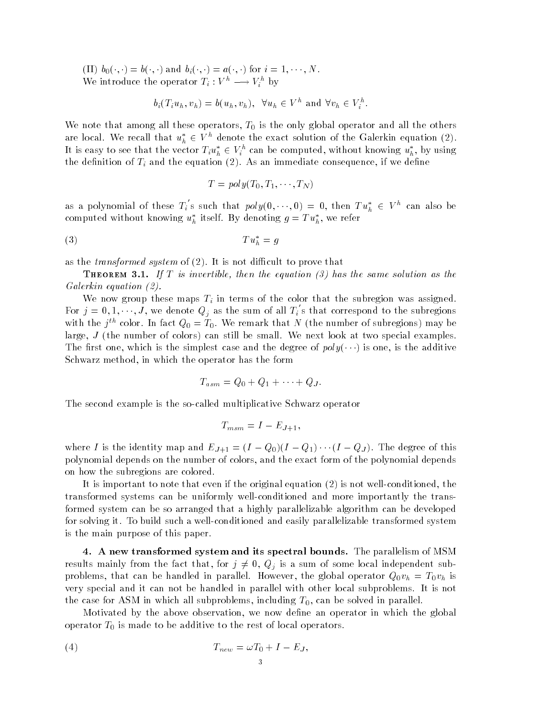$\{11\}$   $\upsilon_0(\cdot,\cdot) = \upsilon(\cdot,\cdot)$  and  $\upsilon_i(\cdot,\cdot) = \upsilon(\cdot,\cdot)$  for  $i = 1,\cdot\cdot\cdot,\cdot$ We introduce the operator  $I_i: V^* \longrightarrow V_i^*$  by

$$
b_i(T_iu_h, v_h) = b(u_h, v_h), \quad \forall u_h \in V^h \text{ and } \forall v_h \in V_i^h.
$$

We note that among all these operators,  $T_0$  is the only global operator and all the others are local. We recall that  $u_h^* \in V^h$  denote the exact solution of the Galerkin equation (2). It is easy to see that the vector  $T_iu_h^*\in V_i^{\mu}$  can be computed, without knowing  $u_h^*$ , by using the definition of  $T_i$  and the equation (2). As an immediate consequence, if we define

$$
T = poly(T_0, T_1, \cdots, T_N)
$$

as a polynomial of these  $T_i$  s such that  $poly(0,\dots,0) = 0$ , then  $Tu_h^* \in V^n$  can also be computed without knowing  $u_h^*$  itself. By denoting  $g = Tu_h^*$ , we refer

$$
(3) \t\t T u_h^* = g
$$

as the *transformed system* of  $(2)$ . It is not difficult to prove that

 $\pm$  HEOREM O.I. It is the effective then the equation for has the same solution as the Galerkin equation (2).

We now group these maps  $T_i$  in terms of the color that the subregion was assigned. For  $j = 0, 1, \dots, J$ , we denote  $Q_j$  as the sum of all  $T_i$  s that correspond to the subregions with the  $j$  " color. In fact  $Q_0 = I_0$ , we remark that *I* (the number of subregions) may be large,  $J$  (the number of colors) can still be small. We next look at two special examples. The first one, which is the simplest case and the degree of  $poly(\cdot, \cdot)$  is one, is the additive Schwarz method, in which the operator has the form

$$
T_{asm} = Q_0 + Q_1 + \cdots + Q_J.
$$

The second example is the so-called multiplicative Schwarz operator

$$
T_{msm} = I - E_{J+1},
$$

where I is the identity map and  $E_j+1 = (I - Q_0)(I - Q_1) \cdots (I - Q_J)$ . The degree of this polynomial depends on the number of colors and the exact form of the polynomial depends on how the subregions are colored

It is important to note that even if the original equation  $(2)$  is not well-conditioned, the transformed systems can be uniformly well-conditioned and more importantly the transformed system can be so arranged that a highly parallelizable algorithm can be developed for solving it. To build such a well-conditioned and easily parallelizable transformed system is the main purpose of this paper

4. A new transformed system and its spectral bounds. The parallelism of MSM results mainly from the fact that, for  $j \neq 0$ ,  $Q_j$  is a sum of some local independent subproblems, that can be handled in parallel. However, the global operator  $Q_0v_h = T_0v_h$  is very special and it can not be handled in parallel with other local subproblems It is not the case for ASM in which all subproblems, including  $T_0$ , can be solved in parallel.

Motivated by the above observation, we now define an operator in which the global operator  $T_0$  is made to be additive to the rest of local operators.

$$
(4) \t T_{new} = \omega T_0 + I - E_J,
$$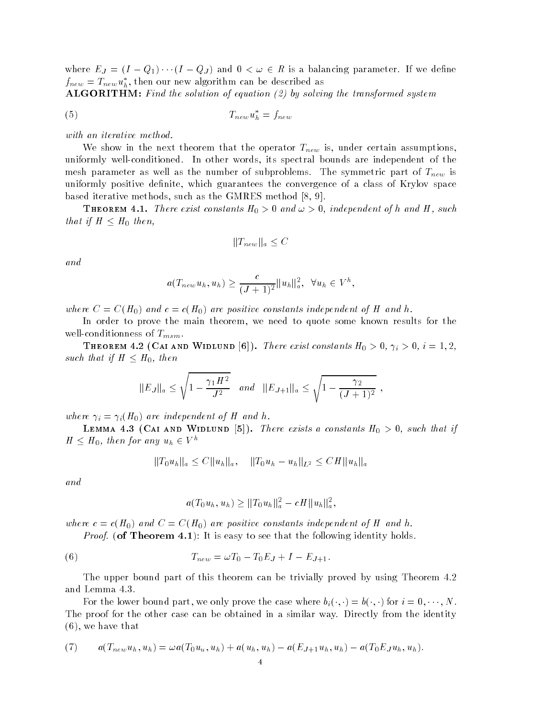where  $E_J = (I - Q_1) \cdots (I - Q_J)$  and  $0 < \omega \in R$  is a balancing parameter. If we define  $f_{new} = T_{new}u_h^*$ , then our new algorithm can be described as

 $ALGORITHM:$  Find the solution of equation  $(2)$  by solving the transformed system

$$
(5) \t\t T_{new}u_h^* = f_{new}
$$

with an iterative method.

We show in the next theorem that the operator  $T_{new}$  is, under certain assumptions, uniformly well-conditioned. In other words, its spectral bounds are independent of the mesh parameter as well as the number of subproblems. The symmetric part of  $T_{new}$  is uniformly positive definite, which guarantees the convergence of a class of Krylov space based iterative methods such as the GMRES methods such as the GMRES methods such as the GMRES methods such as

**THEOREM 4.1.** There exist constants  $H_0 > 0$  and  $\omega > 0$ , thae pendent of h and H, such that if  $H \leq H_0$  then,

$$
||T_{new}||_a \leq C
$$

and

$$
a(T_{new}u_h, u_h) \geq \frac{c}{(J+1)^2}||u_h||_a^2, \quad \forall u_h \in V^h,
$$

where  $C = C(H_0)$  and  $c = C(H_0)$  are positive constants independent of H and h.

In order to prove the main theorem, we need to quote some known results for the well-conditionness of  $T_{msm}$ .

**THEOREM 4.2 (CAI AND WIDLUND [6]).** There exist constants  $H_0 > 0$ ,  $\gamma_i > 0$ ,  $i = 1, 2$ , such that if  $H \leq H_0$ , then

$$
||E_J||_a \le \sqrt{1 - \frac{\gamma_1 H^2}{J^2}} \quad \text{and} \quad ||E_{J+1}||_a \le \sqrt{1 - \frac{\gamma_2}{(J+1)^2}} \ ,
$$

 $\overline{\phantom{a}}$ 

where  $\mu = \mu(H_0)$  are macpenached  $f$   $H_0$  and  $\mu$ .

**LEMMA 7.0** (OAI AND WIDDOND  $[0]$ ). There exists a constants  $H_0 > 0$ , such that if  $H \leq H_0$ , then for any  $u_h \in V^{\mu}$ 

$$
||T_0u_h||_a \leq C||u_h||_a, \quad ||T_0u_h - u_h||_{L^2} \leq C H||u_h||_a
$$

and

$$
a(T_0u_h, u_h) \ge ||T_0u_h||_a^2 - cH||u_h||_a^2,
$$

where  $c = c(H_0)$  and  $\psi = \psi(H_0)$  are positive constants independent of H and h.

*Proof.* (of Theorem 4.1): It is easy to see that the following identity holds

(6) 
$$
T_{new} = \omega T_0 - T_0 E_J + I - E_{J+1}.
$$

The upper bound part of this theorem can be trivially proved by using Theorem 4.2 and Lemma

For the lower bound part, we only prove the case where  $\theta_i(\cdot, \cdot) = \theta(\cdot, \cdot)$  for  $i = 0, \cdots, N$ . The proof for the other case can be obtained in a similar way. Directly from the identity  $\mathbf{v}$  - we have that the that the that the that the that the that the that the that the that the that the that the that the three states is the three states of the three states is the three states of the three states i

(7) 
$$
a(T_{new}u_h, u_h) = \omega a(T_0u_u, u_h) + a(u_h, u_h) - a(E_{J+1}u_h, u_h) - a(T_0E_Ju_h, u_h).
$$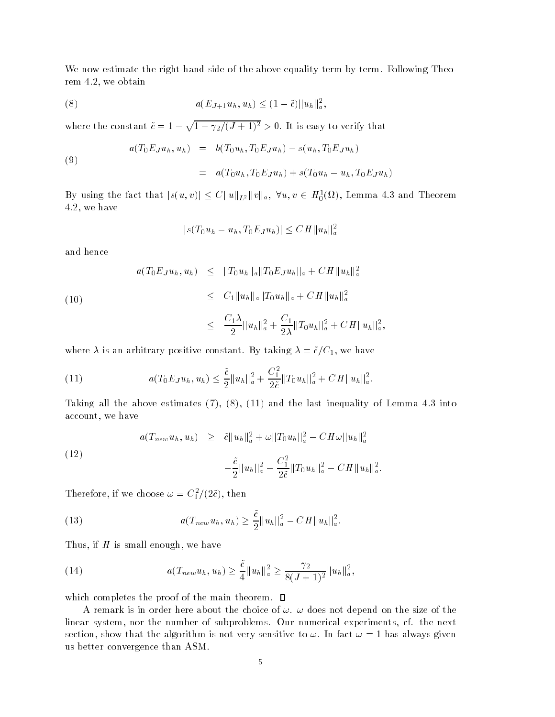We now estimate the right-hand-side of the above equality term-by-term. Following Theorem  $4.2$ , we obtain

(8) 
$$
a(E_{J+1}u_h, u_h) \leq (1-\tilde{c})||u_h||_a^2,
$$

(8)<br>
where the constant  $\tilde{c} = 1 - \sqrt{1 - \gamma_2/(J+1)^2} > 0$ . It is easy to verify that

(9)  

$$
a(T_0E_Ju_h, u_h) = b(T_0u_h, T_0E_Ju_h) - s(u_h, T_0E_Ju_h)
$$

$$
= a(T_0u_h, T_0E_Ju_h) + s(T_0u_h - u_h, T_0E_Ju_h)
$$

By using the fact that  $|s(u,v)| \leq C \|u\|_{L^2} \|v\|_a$ ,  $\forall u, v \in H_0^1(\Omega)$ , Lemma 4.3 and Theorem  $4.2$ , we have

$$
|s(T_0u_h - u_h, T_0E_Ju_h)| \leq CH ||u_h||_a^2
$$

and hence

(10)  

$$
a(T_0E_Ju_h, u_h) \leq \|T_0u_h\|_a \|T_0E_Ju_h\|_a + CH \|u_h\|_a^2
$$

$$
\leq C_1 \|u_h\|_a \|T_0u_h\|_a + CH \|u_h\|_a^2
$$

$$
\leq \frac{C_1\lambda}{2} \|u_h\|_a^2 + \frac{C_1}{2\lambda} \|T_0u_h\|_a^2 + CH \|u_h\|_a^2,
$$

where  $\lambda$  is an arbitrary positive constant. By taking  $\lambda = \tilde{c}/C_1$ , we have

(11) 
$$
a(T_0 E_J u_h, u_h) \leq \frac{\tilde{c}}{2} \|u_h\|_a^2 + \frac{C_1^2}{2\tilde{c}} \|T_0 u_h\|_a^2 + C H \|u_h\|_a^2.
$$

Taking all the above estimates  $(7)$ ,  $(8)$ ,  $(11)$  and the last inequality of Lemma 4.3 into account, we have

(12)  

$$
a(T_{new}u_h, u_h) \geq \tilde{c}||u_h||_a^2 + \omega ||T_0u_h||_a^2 - CH\omega ||u_h||_a^2
$$

$$
-\frac{\tilde{c}}{2}||u_h||_a^2 - \frac{C_1^2}{2\tilde{c}}||T_0u_h||_a^2 - CH||u_h||_a^2.
$$

**Therefore, if we choose**  $\omega = \cup \frac{1}{2}$  (zc), then

(13) 
$$
a(T_{new}u_h, u_h) \geq \frac{\tilde{c}}{2} ||u_h||_a^2 - CH ||u_h||_a^2.
$$

Thus, if  $H$  is small enough, we have

(14) 
$$
a(T_{new}u_h, u_h) \geq \frac{\tilde{c}}{4}||u_h||_a^2 \geq \frac{\gamma_2}{8(J+1)^2}||u_h||_a^2,
$$

which completes the proof of the main theorem.  $\square$ 

A remark is in order here about the choice of  $\omega$ .  $\omega$  does not depend on the size of the linear system, nor the number of subproblems. Our numerical experiments, cf. the next section, show that the algorithm is not very sensitive to  $\omega$ . In fact  $\omega = 1$  has always given us better convergence than ASM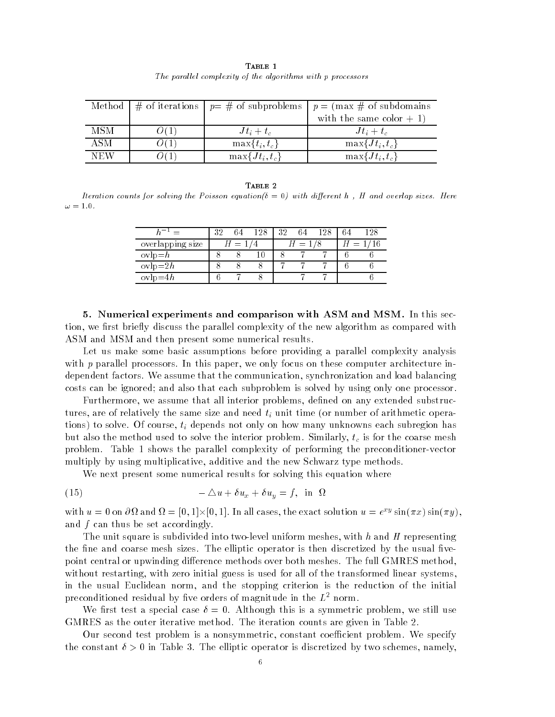| TABLE 1                                                     |
|-------------------------------------------------------------|
| The parallel complexity of the algorithms with p processors |

|     |                     | Method $\mid \#$ of iterations $\mid p = \#$ of subproblems $\mid p = (\text{max } \# \text{ of subdomains})$ |
|-----|---------------------|---------------------------------------------------------------------------------------------------------------|
|     |                     | with the same color $+1$ )                                                                                    |
| MSM | $Jt_i+t_c$          | $Jt_i+t_c$                                                                                                    |
| ASM | $\max\{t_i, t_c\}$  | $\max\{Jt_i,t_c\}$                                                                                            |
| NEW | $\max\{Jt_i, t_c\}$ | $\max\{Jt_i,t_c\}$                                                                                            |

#### TABLE 2

Iteration counts for solving the Poisson equation with di-erent <sup>h</sup> <sup>H</sup> and overlap sizes Here

|                  | າດ | 64  | 128 | 32 |                             | ' 28 |                        |  |
|------------------|----|-----|-----|----|-----------------------------|------|------------------------|--|
| overlapping size |    | $=$ |     |    | $\mathcal{L} = \mathcal{L}$ |      | $\qquad \qquad \qquad$ |  |
| $ovlp = h$       |    |     |     |    |                             |      |                        |  |
| $ovlp=2h$        |    |     |     |    |                             |      |                        |  |
| $ovlp=4h$        |    |     |     |    |                             |      |                        |  |

 Numerical experiments and comparison with ASM and MSM In this sec tion, we first briefly discuss the parallel complexity of the new algorithm as compared with ASM and MSM and then present some numerical results.

Let us make some basic assumptions before providing a parallel complexity analysis with  $p$  parallel processors. In this paper, we only focus on these computer architecture independent factors. We assume that the communication, synchronization and load balancing costs can be ignored; and also that each subproblem is solved by using only one processor.

Furthermore, we assume that all interior problems, defined on any extended substructures, are of relatively the same size and need  $t_i$  unit time (or number of arithmetic operations) to solve. Of course,  $t_i$  depends not only on how many unknowns each subregion has but also the method used to solve the interior problem. Similarly,  $t_c$  is for the coarse mesh problem. Table 1 shows the parallel complexity of performing the preconditioner-vector multiply by using multiplicative, additive and the new Schwarz type methods.

We next present some numerical results for solving this equation where

(15) 
$$
-\Delta u + \delta u_x + \delta u_y = f, \text{ in } \Omega
$$

with  $u = 0$  on  $\partial \Omega$  and  $\Omega = [0,1] \times [0,1]$ . In all cases, the exact solution  $u = e^{2y} \sin(\pi x) \sin(\pi y)$ , and  $f$  can thus be set accordingly.

The unit square is subdivided into two-level uniform meshes, with h and H representing the fine and coarse mesh sizes. The elliptic operator is then discretized by the usual five point central or upwinding difference methods over both meshes. The full GMRES method, without restarting, with zero initial guess is used for all of the transformed linear systems, in the usual Euclidean norm, and the stopping criterion is the reduction of the initial preconditioned residual by five orders of magnitude in the  $L^2$  norm.

 $\mathcal{M}$  and the special case  $\mathcal{M}$  is a similar this is a symmetric problem we still use  $\mathcal{M}$ GMRES as the outer iterative method. The iteration counts are given in Table 2.

Our second test problem is a nonsymmetric, constant coefficient problem. We specify the constant  $v > 0$  in Table of The emptic operator is discretized by two schemes, namely,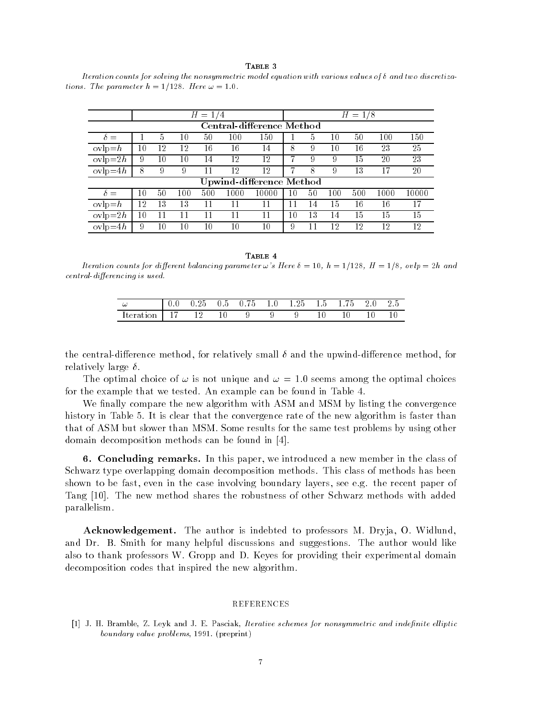$$ 

Iteration counts for solving the nonsymmetric model equation with various values of  $\delta$  and two discretizations the parameter is the property of the parameter of  $\mathcal{L}_\mathcal{A}$ 

|                           | Н<br>$=$ |    |     |     |      |                                 | $H = 1/8$ |    |     |     |      |       |
|---------------------------|----------|----|-----|-----|------|---------------------------------|-----------|----|-----|-----|------|-------|
| Central-difference Method |          |    |     |     |      |                                 |           |    |     |     |      |       |
| $\delta =$                |          | 5  | 10  | 50  | 100  | 150                             |           | 5  | 10  | 50  | 100  | 150   |
| $ovlp = h$                | 10       | 12 | 12  | 16  | 16   | 14                              | 8         | 9  | 10  | 16  | 23   | 25    |
| $ovlp = 2h$               | 9        | 10 | 10  | 14  | 12   | 12                              |           | 9  | 9   | 15  | 20   | 23    |
| $ovlp=4h$                 | 8        | 9  | 9   |     | 12   | 12                              |           | 8  | 9   | 13  | 17   | 20    |
|                           |          |    |     |     |      | <b>Upwind-difference Method</b> |           |    |     |     |      |       |
| $\delta =$                | 10       | 50 | 100 | 500 | 1000 | 10000                           | 10        | 50 | 100 | 500 | 1000 | 10000 |
| $ovlp=n$                  | 12       | 13 | 13  |     | 11   | 11                              | 11        | 14 | 15  | 16  | 16   | 17    |
| $ovlp=2h$                 | 10       | 11 | 11  |     | 11   | 11                              | 10        | 13 | 14  | 15  | 15   | 15    |
| $ovlp=4h$                 | 9        | 10 | 10  | 10  | 10   | 10                              | 9         | 11 | 12  | 12  | 12   | 12    |

TABLE 4

erent balancing for different balancing parameters in the series of the parameter specific starting the series erencing is used in the contract of the contract of the contract of the contract of the contract of the contract of the contract of the contract of the contract of the contract of the contract of the contract of the contra

| u<br>--        | 25<br>U. | U 5 | $\sim$<br>$\mathbf{0}$<br>h | 1.25 | t. I | $ -$<br>75 |   | -<br>$2.5\,$ |
|----------------|----------|-----|-----------------------------|------|------|------------|---|--------------|
| Iteratio<br>οn |          | ◡   |                             |      |      |            | ╰ | ΙU           |

the central direction method for relative to the upwind the upwinding direct method for the upper relatively large of

The optimal choice of **w** is not unique what **w** - I.O secure will cho optimal choices for the example that we tested. An example can be found in Table 4.

We finally compare the new algorithm with ASM and MSM by listing the convergence history in Table 5. It is clear that the convergence rate of the new algorithm is faster than that of ASM but slower than MSM. Some results for the same test problems by using other domain decomposition methods can be found in the found in the found in the found in the found in the found in the found in the found in the found in the found in the found in the found in the found in the found in the foun

6. Concluding remarks. In this paper, we introduced a new member in the class of Schwarz type overlapping domain decomposition methods This class of methods has been shown to be fast, even in the case involving boundary layers, see e.g. the recent paper of Tang  The new method shares the robustness of other Schwarz methods with added parallelism

**Acknowledgement.** The author is indebted to professors M. Dryja, O. Widlund, and Dr. B. Smith for many helpful discussions and suggestions. The author would like also to thank professors W. Gropp and D. Keyes for providing their experimental domain decomposition codes that inspired the new algorithm

 J- H- Bramble Z- Leyk and J- E- Pasciak Iterative schemes for nonsymmetric and indenite el liptic boundary value problems - preprint